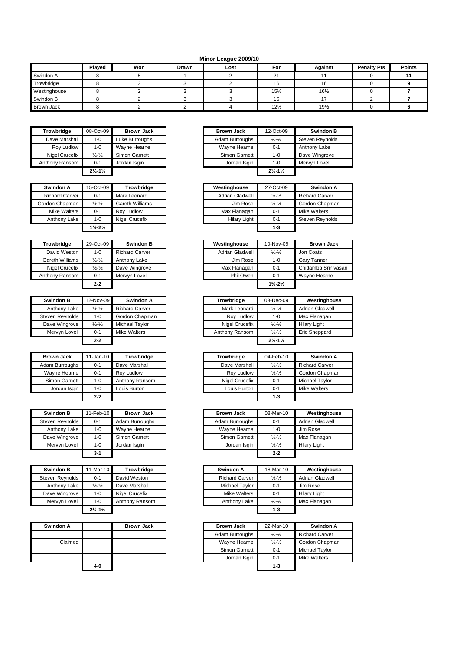## **Minor League 2009/10**

|                   | Played | Won | <b>Drawn</b> | Lost | For             | Against         | <b>Penalty Pts</b> | <b>Points</b> |
|-------------------|--------|-----|--------------|------|-----------------|-----------------|--------------------|---------------|
| Swindon A         |        |     |              |      | 21              |                 |                    |               |
| Trowbridge        |        |     |              |      | 16              | 10              |                    |               |
| Westinghouse      |        |     |              |      | $15\frac{1}{2}$ | $16\frac{1}{2}$ |                    |               |
| Swindon B         |        |     |              |      | 15              |                 |                    |               |
| <b>Brown Jack</b> |        |     |              |      | $12\frac{1}{2}$ | 191/2           |                    |               |

| Trowbridge     | 08-Oct-09                     | <b>Brown Jack</b> |
|----------------|-------------------------------|-------------------|
| Dave Marshall  | $1 - 0$                       | Luke Burroughs    |
| Roy Ludlow     | $1 - 0$                       | Wayne Hearne      |
| Nigel Crucefix | $\frac{1}{2} - \frac{1}{2}$   | Simon Garnett     |
| Anthony Ransom | $0 - 1$                       | Jordan Isgin      |
|                | $2\frac{1}{2} - 1\frac{1}{2}$ |                   |

| Swindon A             | 15-Oct-09                     | Trowbridge             |
|-----------------------|-------------------------------|------------------------|
| <b>Richard Carver</b> | $0 - 1$                       | Mark Leonard           |
| Gordon Chapman        | $\frac{1}{2}$ - $\frac{1}{2}$ | <b>Gareth Williams</b> |
| Mike Walters          | $0 - 1$                       | Roy Ludlow             |
| Anthony Lake          | $1 - 0$                       | <b>Nigel Crucefix</b>  |
|                       | $1\frac{1}{2} - 2\frac{1}{2}$ |                        |

| Trowbridge             | 29-Oct-09                     | <b>Swindon B</b>      |
|------------------------|-------------------------------|-----------------------|
| David Weston           | $1 - 0$                       | <b>Richard Carver</b> |
| <b>Gareth Williams</b> | $\frac{1}{2}$ - $\frac{1}{2}$ | Anthony Lake          |
| Nigel Crucefix         | $\frac{1}{2}$ - $\frac{1}{2}$ | Dave Wingrove         |
| Anthony Ransom         | $0 - 1$                       | Mervyn Lovell         |
|                        | $2 - 2$                       |                       |

| <b>Swindon B</b> | 12-Nov-09                   | Swindon A             | <b>Trowbridge</b> | 03-Dec-09                     |
|------------------|-----------------------------|-----------------------|-------------------|-------------------------------|
| Anthony Lake     | $\frac{1}{2} - \frac{1}{2}$ | <b>Richard Carver</b> | Mark Leonard      | $\frac{1}{2} - \frac{1}{2}$   |
| Steven Revnolds  | 1-0                         | Gordon Chapman        | Rov Ludlow        | $1 - 0$                       |
| Dave Wingrove    | $\frac{1}{2} - \frac{1}{2}$ | <b>Michael Tavlor</b> | Nigel Crucefix    | $\frac{1}{2} - \frac{1}{2}$   |
| Mervvn Lovell    | $0 - 1$                     | <b>Mike Walters</b>   | Anthony Ransom    | $\frac{1}{2} - \frac{1}{2}$   |
|                  | $2 - 2$                     |                       |                   | $2\frac{1}{2} - 1\frac{1}{2}$ |

| <b>Brown Jack</b> | $11$ -Jan-10 | Trowbridge     | Trowbridge     | 04-Feb |
|-------------------|--------------|----------------|----------------|--------|
| Adam Burroughs    | $0 - 1$      | Dave Marshall  | Dave Marshall  |        |
| Wayne Hearne      | $0 - 1$      | Rov Ludlow     | Roy Ludlow     |        |
| Simon Garnett     | $1 - 0$      | Anthony Ransom | Nigel Crucefix |        |
| Jordan Isgin      | $1 - 0$      | Louis Burton   | Louis Burton   |        |
|                   | $2 - 2$      |                |                |        |

| <b>Swindon B</b> | 11-Feb-10 | <b>Brown Jack</b> |
|------------------|-----------|-------------------|
| Steven Reynolds  | $0 - 1$   | Adam Burroughs    |
| Anthony Lake     | 1-0       | Wayne Hearne      |
| Dave Wingrove    | 1-0       | Simon Garnett     |
| Mervyn Lovell    | $1 - 0$   | Jordan Isgin      |
|                  | $3-1$     |                   |

| <b>Swindon B</b> | 11-Mar-10                     | Trowbridae     | Swindon A             | 18-Mar-10                   |                     |
|------------------|-------------------------------|----------------|-----------------------|-----------------------------|---------------------|
| Steven Reynolds  | $0 - 1$                       | David Weston   | <b>Richard Carver</b> | $\frac{1}{2} - \frac{1}{2}$ | Adrian Gla          |
| Anthony Lake     | $\frac{1}{2} - \frac{1}{2}$   | Dave Marshall  | Michael Taylor        | $0 - 1$                     | Jim Rose            |
| Dave Wingrove    | $1 - 0$                       | Nigel Crucefix | Mike Walters          | $0 - 1$                     | <b>Hilary Light</b> |
| Mervvn Lovell    | $1 - 0$                       | Anthony Ransom | Anthony Lake          | $\frac{1}{2} - \frac{1}{2}$ | Max Flana           |
|                  | $2\frac{1}{2} - 1\frac{1}{2}$ |                |                       | $1 - 3$                     |                     |

| Swindon A |         | <b>Brown Jack</b> |
|-----------|---------|-------------------|
|           |         |                   |
| Claimed   |         |                   |
|           |         |                   |
|           |         |                   |
|           | $4 - 0$ |                   |

| Trowbridge     | 08-Oct-09                     | <b>Brown Jack</b> |
|----------------|-------------------------------|-------------------|
| Dave Marshall  | $1 - 0$                       | Luke Burroughs    |
| Rov Ludlow     | $1 - 0$                       | Wavne Hearne      |
| Nigel Crucefix | $\frac{1}{2} - \frac{1}{2}$   | Simon Garnett     |
| Anthonv Ransom | $0 - 1$                       | Jordan Isgin      |
|                | $2\frac{1}{2} - 1\frac{1}{2}$ |                   |

| Swindon A             | 15-Oct-09                     | Trowbridge      | Westinghouse        | 27-Oct-09                   | Swindon A              |
|-----------------------|-------------------------------|-----------------|---------------------|-----------------------------|------------------------|
| <b>Richard Carver</b> | $0 - 1$                       | Mark Leonard    | Adrian Gladwell     | $\frac{1}{2} - \frac{1}{2}$ | <b>Richard Carver</b>  |
| Gordon Chapman        | $\frac{1}{2} - \frac{1}{2}$   | Gareth Williams | Jim Rose            | $\frac{1}{2} - \frac{1}{2}$ | Gordon Chapman         |
| Mike Walters          | $0 - 1$                       | Rov Ludlow      | Max Flanagan        | $0 - 1$                     | <b>Mike Walters</b>    |
| Anthony Lake          | $1 - 0$                       | Nigel Crucefix  | <b>Hilary Light</b> | $0 - 1$                     | <b>Steven Reynolds</b> |
|                       | $1\frac{1}{2} - 2\frac{1}{2}$ |                 |                     | $1 - 3$                     |                        |

| Trowbridge      | 29-Oct-09                     | <b>Swindon B</b>      |
|-----------------|-------------------------------|-----------------------|
| David Weston    | 1-0                           | <b>Richard Carver</b> |
| Gareth Williams | $\frac{1}{2}$ - $\frac{1}{2}$ | Anthony Lake          |
| Nigel Crucefix  | $\frac{1}{2} - \frac{1}{2}$   | Dave Wingrove         |
| Anthony Ransom  | $0 - 1$                       | Mervyn Lovell         |
|                 | $2 - 2$                       |                       |

| <b>Swindon B</b> | 12-Nov-09                   | Swindon A             | <b>Trowbridge</b> | 03-Dec-09                     | Westinghouse         |
|------------------|-----------------------------|-----------------------|-------------------|-------------------------------|----------------------|
| Anthony Lake     | $\frac{1}{2} - \frac{1}{2}$ | <b>Richard Carver</b> | Mark Leonard      | $\frac{1}{2} - \frac{1}{2}$   | Adrian Gladwell      |
| Steven Reynolds  | $1 - 0$                     | Gordon Chapman        | Rov Ludlow        | $1 - 0$                       | Max Flanagan         |
| Dave Wingrove    | $\frac{1}{2} - \frac{1}{2}$ | <b>Michael Tavlor</b> | Nigel Crucefix    | $\frac{1}{2} - \frac{1}{2}$   | <b>Hilary Light</b>  |
| Mervvn Lovell    | $0 - 1$                     | Mike Walters          | Anthony Ransom    | $\frac{1}{2} - \frac{1}{2}$   | <b>Eric Sheppard</b> |
|                  | $2 - 2$                     |                       |                   | $2\frac{1}{2} - 1\frac{1}{2}$ |                      |

| <b>Brown Jack</b> | $11$ -Jan-10 | Trowbridge     |
|-------------------|--------------|----------------|
| Adam Burroughs    | $0 - 1$      | Dave Marshall  |
| Wayne Hearne      | $0 - 1$      | Rov Ludlow     |
| Simon Garnett     | 1-0          | Anthony Ransom |
| Jordan Isgin      | 1-0          | ouis Burton    |
|                   | $2 - 2$      |                |

| Swindon B       | 11-Feb-10 | <b>Brown Jack</b> | <b>Brown Jack</b> | 08-Mar-10                   | Westinghouse           |
|-----------------|-----------|-------------------|-------------------|-----------------------------|------------------------|
| Steven Reynolds | $0 - 1$   | Adam Burroughs    | Adam Burroughs    | $0 - 1$                     | <b>Adrian Gladwell</b> |
| Anthony Lake    | $1 - 0$   | Wayne Hearne      | Wayne Hearne      | $1 - 0$                     | Jim Rose               |
| Dave Wingrove   | $1 - 0$   | Simon Garnett     | Simon Garnett     | $\frac{1}{2} - \frac{1}{2}$ | Max Flanagan           |
| Mervvn Lovell   | $1 - 0$   | Jordan Isgin      | Jordan Isgin      | $\frac{1}{2} - \frac{1}{2}$ | <b>Hilary Light</b>    |
|                 | $3 - 1$   |                   |                   | $2 - 2$                     |                        |

| Swindon B       | 11-Mar-10                     | Trowbridge     | Swindon A             | 18-Mar-10                   | Westinghouse           |
|-----------------|-------------------------------|----------------|-----------------------|-----------------------------|------------------------|
| Steven Revnolds | $0 - 1$                       | David Weston   | <b>Richard Carver</b> | $\frac{1}{2} - \frac{1}{2}$ | <b>Adrian Gladwell</b> |
| Anthony Lake    | $\frac{1}{2} - \frac{1}{2}$   | Dave Marshall  | Michael Taylor        | $0 - 1$                     | Jim Rose               |
| Dave Wingrove   | $1 - 0$                       | Nigel Crucefix | Mike Walters          | $0 - 1$                     | <b>Hilary Light</b>    |
| Mervyn Lovell   | $1 - 0$                       | Anthony Ransom | Anthony Lake          | $\frac{1}{2} - \frac{1}{2}$ | Max Flanagan           |
|                 | $2\frac{1}{2} - 1\frac{1}{2}$ |                |                       | $1 - 3$                     |                        |

| Swindon A |         | <b>Brown Jack</b> | <b>Brown Jack</b> | 22-Mar-10                   | Swindon A             |
|-----------|---------|-------------------|-------------------|-----------------------------|-----------------------|
|           |         |                   | Adam Burroughs    | $\frac{1}{2} - \frac{1}{2}$ | <b>Richard Carver</b> |
| Claimed   |         |                   | Wavne Hearne      | $\frac{1}{2} - \frac{1}{2}$ | Gordon Chapman        |
|           |         |                   | Simon Garnett     | $0 - 1$                     | Michael Tavlor        |
|           |         |                   | Jordan Isgin      | $0 - 1$                     | <b>Mike Walters</b>   |
|           | $4 - 0$ |                   |                   | $1 - 3$                     |                       |